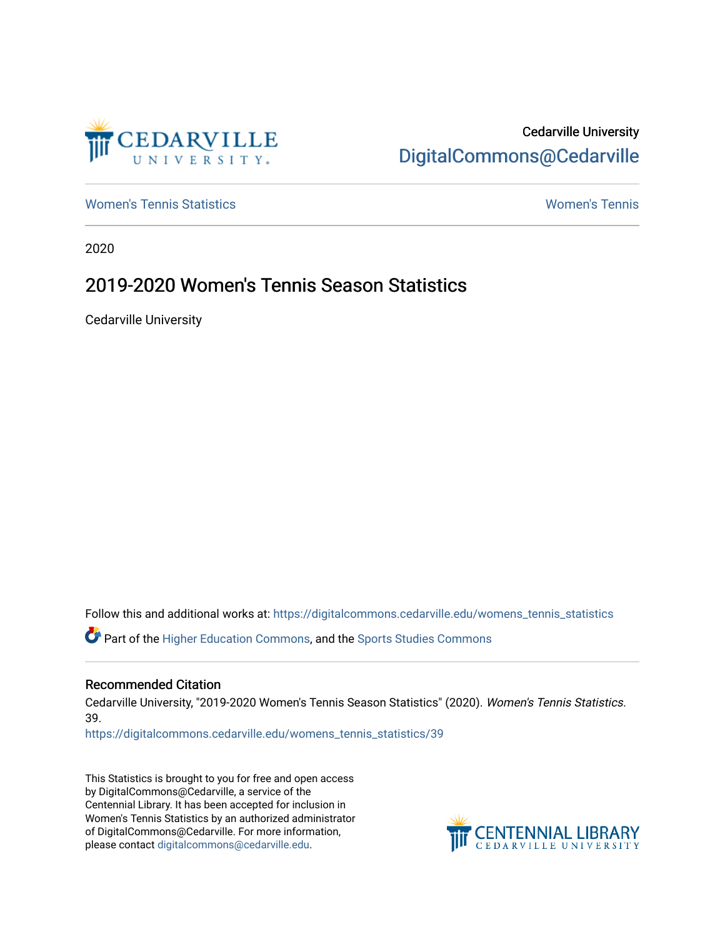

Cedarville University [DigitalCommons@Cedarville](https://digitalcommons.cedarville.edu/) 

[Women's Tennis Statistics](https://digitalcommons.cedarville.edu/womens_tennis_statistics) [Women's Tennis](https://digitalcommons.cedarville.edu/womens_tennis) 

2020

# 2019-2020 Women's Tennis Season Statistics

Cedarville University

Follow this and additional works at: [https://digitalcommons.cedarville.edu/womens\\_tennis\\_statistics](https://digitalcommons.cedarville.edu/womens_tennis_statistics?utm_source=digitalcommons.cedarville.edu%2Fwomens_tennis_statistics%2F39&utm_medium=PDF&utm_campaign=PDFCoverPages) 

Part of the [Higher Education Commons,](http://network.bepress.com/hgg/discipline/1245?utm_source=digitalcommons.cedarville.edu%2Fwomens_tennis_statistics%2F39&utm_medium=PDF&utm_campaign=PDFCoverPages) and the [Sports Studies Commons](http://network.bepress.com/hgg/discipline/1198?utm_source=digitalcommons.cedarville.edu%2Fwomens_tennis_statistics%2F39&utm_medium=PDF&utm_campaign=PDFCoverPages) 

### Recommended Citation

Cedarville University, "2019-2020 Women's Tennis Season Statistics" (2020). Women's Tennis Statistics. 39.

[https://digitalcommons.cedarville.edu/womens\\_tennis\\_statistics/39](https://digitalcommons.cedarville.edu/womens_tennis_statistics/39?utm_source=digitalcommons.cedarville.edu%2Fwomens_tennis_statistics%2F39&utm_medium=PDF&utm_campaign=PDFCoverPages) 

This Statistics is brought to you for free and open access by DigitalCommons@Cedarville, a service of the Centennial Library. It has been accepted for inclusion in Women's Tennis Statistics by an authorized administrator of DigitalCommons@Cedarville. For more information, please contact [digitalcommons@cedarville.edu](mailto:digitalcommons@cedarville.edu).

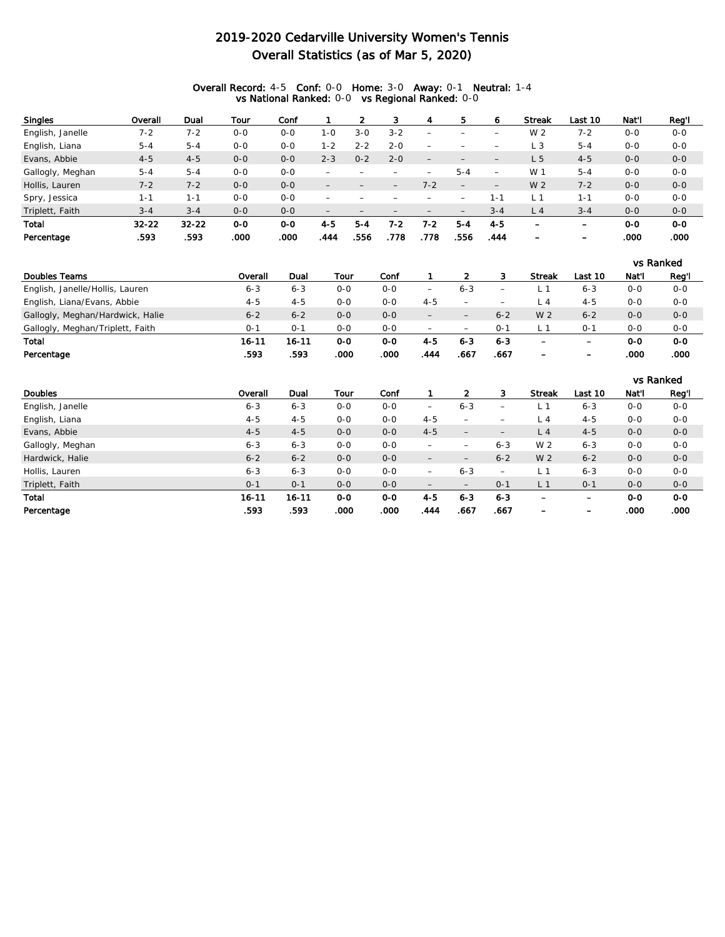### 2019-2020 Cedarville University Women's Tennis Overall Statistics (as of Mar 5, 2020)

#### Overall Record: 4-5 Conf: 0-0 Home: 3-0 Away: 0-1 Neutral: 1-4 vs National Ranked: 0-0 vs Regional Ranked: 0-0

| <b>Singles</b>   | Overall   | Dual      | Tour    | Conf    |                          |         |         | 4                        | 5       | o.                       | <b>Streak</b>            | Last 10 | Nat'l   | Reg'l   |
|------------------|-----------|-----------|---------|---------|--------------------------|---------|---------|--------------------------|---------|--------------------------|--------------------------|---------|---------|---------|
| English, Janelle | $7 - 2$   | $7 - 2$   | $0 - 0$ | $0 - 0$ | $1 - 0$                  | $3 - 0$ | $3 - 2$ |                          |         |                          | W 2                      | $7 - 2$ | $O - O$ | $0 - 0$ |
| English, Liana   | $5 - 4$   | $5 - 4$   | $0 - 0$ | $0 - 0$ | 1-2                      | $2 - 2$ | $2 - 0$ | $\overline{\phantom{0}}$ |         |                          | LЗ                       | $5 - 4$ | $O - O$ | $O-O$   |
| Evans, Abbie     | $4 - 5$   | $4 - 5$   | $0 - 0$ | $0 - 0$ | $2 - 3$                  | $0 - 2$ | $2 - 0$ | $\overline{\phantom{m}}$ |         |                          | L 5                      | $4 - 5$ | $O - O$ | $0 - 0$ |
| Gallogly, Meghan | $5 - 4$   | $5 - 4$   | $0 - 0$ | $0 - 0$ |                          |         |         |                          | $5 - 4$ |                          | W 1                      | $5 - 4$ | $O - O$ | $O-O$   |
| Hollis, Lauren   | $7 - 2$   | $7 - 2$   | $0 - 0$ | $0 - 0$ | $\qquad \qquad -$        |         |         | $7 - 2$                  |         | $\overline{\phantom{0}}$ | W 2                      | $7 - 2$ | $O - O$ | $0-0$   |
| Spry, Jessica    | 1-1       | $1 - 1$   | $0 - 0$ | $0 - 0$ |                          |         |         |                          |         | $1 - 1$                  | L <sup>1</sup>           | 1-1     | $O - O$ | $O-O$   |
| Triplett, Faith  | $3 - 4$   | $3 - 4$   | $O - O$ | $0 - 0$ | $\overline{\phantom{0}}$ |         |         |                          |         | $3 - 4$                  | L <sub>4</sub>           | $3 - 4$ | $O - O$ | $0-0$   |
| Total            | $32 - 22$ | $32 - 22$ | $O-O$   | 0-0     | $4 - 5$                  | $5 - 4$ | 7-2     | $7 - 2$                  | $5 - 4$ | $4 - 5$                  | $\overline{\phantom{0}}$ | -       | $O-O$   | $O-O$   |
| Percentage       | .593      | .593      | .000    | .000    | .444                     | 556     | .778    | .778                     | .556    | .444                     | $\overline{\phantom{0}}$ | -       | .000    | .000    |

|                                  |         |         |         |         |                          |                          |                          |                          |                          |         | vs Ranked |
|----------------------------------|---------|---------|---------|---------|--------------------------|--------------------------|--------------------------|--------------------------|--------------------------|---------|-----------|
| Doubles Teams                    | Overall | Dual    | Tour    | Conf    |                          |                          |                          | <b>Streak</b>            | Last 10                  | Nat'l   | Reg'l     |
| English, Janelle/Hollis, Lauren  | $6 - 3$ | $6 - 3$ | ი-ი     | $O - O$ | $\overline{\phantom{a}}$ | $6 - 3$                  |                          |                          | $6 - 3$                  | 0-0     | $0-0$     |
| English, Liana/Evans, Abbie      | $4 - 5$ | $4 - 5$ | $0 - 0$ | $O - O$ | $4 - 5$                  | $\overline{\phantom{a}}$ | $\overline{\phantom{0}}$ |                          | $4 - 5$                  | 0-0     | $0 - 0$   |
| Gallogly, Meghan/Hardwick, Halie | $6 - 2$ | $6 - 2$ | $0 - 0$ | $0 - 0$ | $\overline{\phantom{0}}$ |                          | $6 - 2$                  | W 2                      | $6 - 2$                  | $0 - 0$ | $0-0$     |
| Gallogly, Meghan/Triplett, Faith | 0-1     | 0-1     | $O - O$ | $O - O$ |                          | $\overline{\phantom{0}}$ | $0 - 1$                  |                          | $0 - 1$                  | $0 - 0$ | $0-0$     |
| Total                            | 16-11   | 16-11   | $O-O$   | 0-0     | 4-5                      | 6-3                      | $6 - 3$                  | -                        | $\overline{\phantom{0}}$ | 0-0     | $0-0$     |
| Percentage                       | .593    | .593    | .000    | .000    | .444                     | .667                     | .667                     | $\overline{\phantom{0}}$ | $\overline{\phantom{0}}$ | .000    | .000      |

|                  |           |           |         |         |                          |                          |                          |                          |         |         | vs Ranked |
|------------------|-----------|-----------|---------|---------|--------------------------|--------------------------|--------------------------|--------------------------|---------|---------|-----------|
| <b>Doubles</b>   | Overall   | Dual      | Tour    | Conf    |                          |                          | 3                        | <b>Streak</b>            | Last 10 | Nat'l   | Reg'l     |
| English, Janelle | $6 - 3$   | $6 - 3$   | $0 - 0$ | $0-0$   | $\qquad \qquad -$        | $6 - 3$                  | $\overline{\phantom{0}}$ |                          | $6 - 3$ | $0 - 0$ | $0-0$     |
| English, Liana   | $4 - 5$   | $4 - 5$   | $0 - 0$ | $0 - 0$ | $4 - 5$                  | $\overline{\phantom{0}}$ |                          | L 4                      | $4 - 5$ | $0 - 0$ | $0-0$     |
| Evans, Abbie     | $4 - 5$   | $4 - 5$   | $0 - 0$ | $0 - 0$ | $4 - 5$                  | $\overline{\phantom{m}}$ | $\qquad \qquad -$        | L <sub>4</sub>           | $4 - 5$ | $0 - 0$ | $0-0$     |
| Gallogly, Meghan | $6 - 3$   | $6 - 3$   | $0 - 0$ | $0 - 0$ | $\overline{\phantom{m}}$ |                          | $6 - 3$                  | W 2                      | $6 - 3$ | $0 - 0$ | $0-0$     |
| Hardwick, Halie  | $6 - 2$   | $6 - 2$   | $0 - 0$ | $0 - 0$ | $\overline{\phantom{m}}$ | $\overline{\phantom{0}}$ | $6 - 2$                  | W 2                      | $6 - 2$ | $0 - 0$ | $0-0$     |
| Hollis, Lauren   | $6 - 3$   | $6 - 3$   | $0 - 0$ | $0-0$   |                          | $6 - 3$                  | $\overline{\phantom{0}}$ | L <sub>1</sub>           | $6 - 3$ | $0-0$   | $0-0$     |
| Triplett, Faith  | $0 - 1$   | $O - 1$   | $0 - 0$ | $0 - 0$ | $\qquad \qquad -$        |                          | $O - 1$                  | L <sub>1</sub>           | $0 - 1$ | $0 - 0$ | $0-0$     |
| Total            | $16 - 11$ | $16 - 11$ | $O-O$   | $O-O$   | $4 - 5$                  | $6 - 3$                  | $6 - 3$                  | $\overline{\phantom{0}}$ | -       | $O-O$   | $O-O$     |
| Percentage       | .593      | .593      | .000    | .000    | .444                     | .667                     | .667                     |                          |         | .000    | .000      |